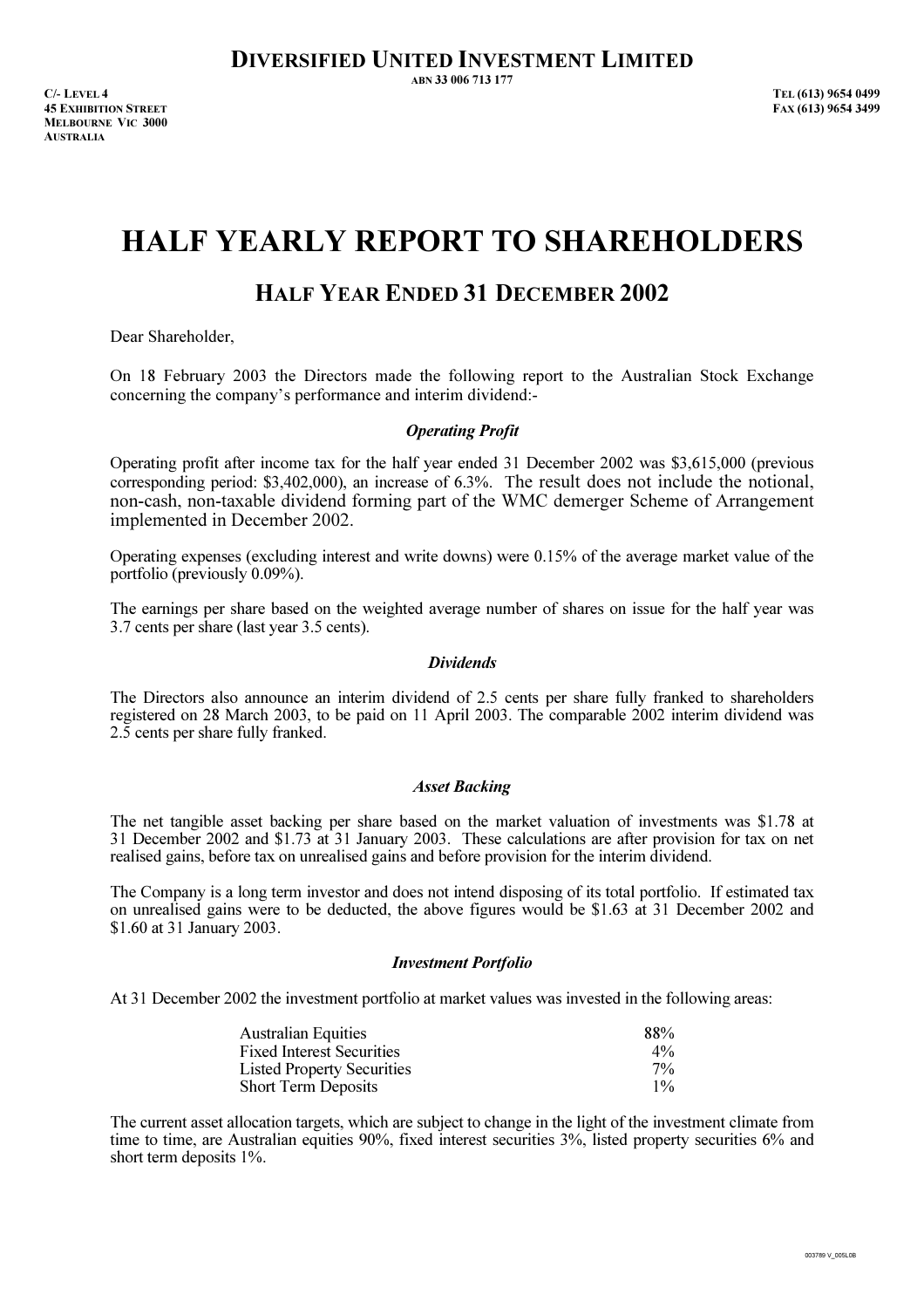ABN 33 006 713 177

C/- LEVEL 4 TEL (613) 9654 0499 45 EXHIBITION STREET FAX (613) 9654 3499 MELBOURNE VIC 3000 **AUSTRALIA** 

# HALF YEARLY REPORT TO SHAREHOLDERS

## HALF YEAR ENDED 31 DECEMBER 2002

Dear Shareholder,

On 18 February 2003 the Directors made the following report to the Australian Stock Exchange concerning the company's performance and interim dividend:-

### Operating Profit

Operating profit after income tax for the half year ended 31 December 2002 was \$3,615,000 (previous corresponding period: \$3,402,000), an increase of 6.3%. The result does not include the notional, non-cash, non-taxable dividend forming part of the WMC demerger Scheme of Arrangement implemented in December 2002.

Operating expenses (excluding interest and write downs) were 0.15% of the average market value of the portfolio (previously 0.09%).

The earnings per share based on the weighted average number of shares on issue for the half year was 3.7 cents per share (last year 3.5 cents).

#### **Dividends**

The Directors also announce an interim dividend of 2.5 cents per share fully franked to shareholders registered on 28 March 2003, to be paid on 11 April 2003. The comparable 2002 interim dividend was 2.5 cents per share fully franked.

#### Asset Backing

The net tangible asset backing per share based on the market valuation of investments was \$1.78 at 31 December 2002 and \$1.73 at 31 January 2003. These calculations are after provision for tax on net realised gains, before tax on unrealised gains and before provision for the interim dividend.

The Company is a long term investor and does not intend disposing of its total portfolio. If estimated tax on unrealised gains were to be deducted, the above figures would be \$1.63 at 31 December 2002 and \$1.60 at 31 January 2003.

#### Investment Portfolio

At 31 December 2002 the investment portfolio at market values was invested in the following areas:

| <b>Australian Equities</b>        | 88%   |
|-----------------------------------|-------|
| <b>Fixed Interest Securities</b>  | $4\%$ |
| <b>Listed Property Securities</b> | $7\%$ |
| <b>Short Term Deposits</b>        | $1\%$ |

The current asset allocation targets, which are subject to change in the light of the investment climate from time to time, are Australian equities 90%, fixed interest securities 3%, listed property securities 6% and short term deposits 1%.